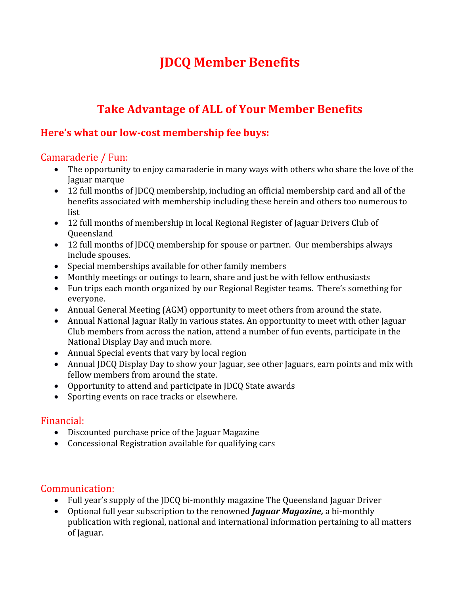# **JDCQ Member Benefits**

# **Take Advantage of ALL of Your Member Benefits**

# **Here's what our low-cost membership fee buys:**

# Camaraderie / Fun:

- The opportunity to enjoy camaraderie in many ways with others who share the love of the Jaguar marque
- 12 full months of JDCQ membership, including an official membership card and all of the benefits associated with membership including these herein and others too numerous to list
- 12 full months of membership in local Regional Register of Jaguar Drivers Club of Queensland
- 12 full months of JDCQ membership for spouse or partner. Our memberships always include spouses.
- Special memberships available for other family members
- Monthly meetings or outings to learn, share and just be with fellow enthusiasts
- Fun trips each month organized by our Regional Register teams. There's something for everyone.
- Annual General Meeting (AGM) opportunity to meet others from around the state.
- Annual National Jaguar Rally in various states. An opportunity to meet with other Jaguar Club members from across the nation, attend a number of fun events, participate in the National Display Day and much more.
- Annual Special events that vary by local region
- Annual JDCQ Display Day to show your Jaguar, see other Jaguars, earn points and mix with fellow members from around the state.
- Opportunity to attend and participate in JDCQ State awards
- Sporting events on race tracks or elsewhere.

#### Financial:

- Discounted purchase price of the Jaguar Magazine
- Concessional Registration available for qualifying cars

# Communication:

- Full year's supply of the JDCQ bi-monthly magazine The Queensland Jaguar Driver
- Optional full year subscription to the renowned *Jaguar Magazine,* a bi-monthly publication with regional, national and international information pertaining to all matters of Jaguar.